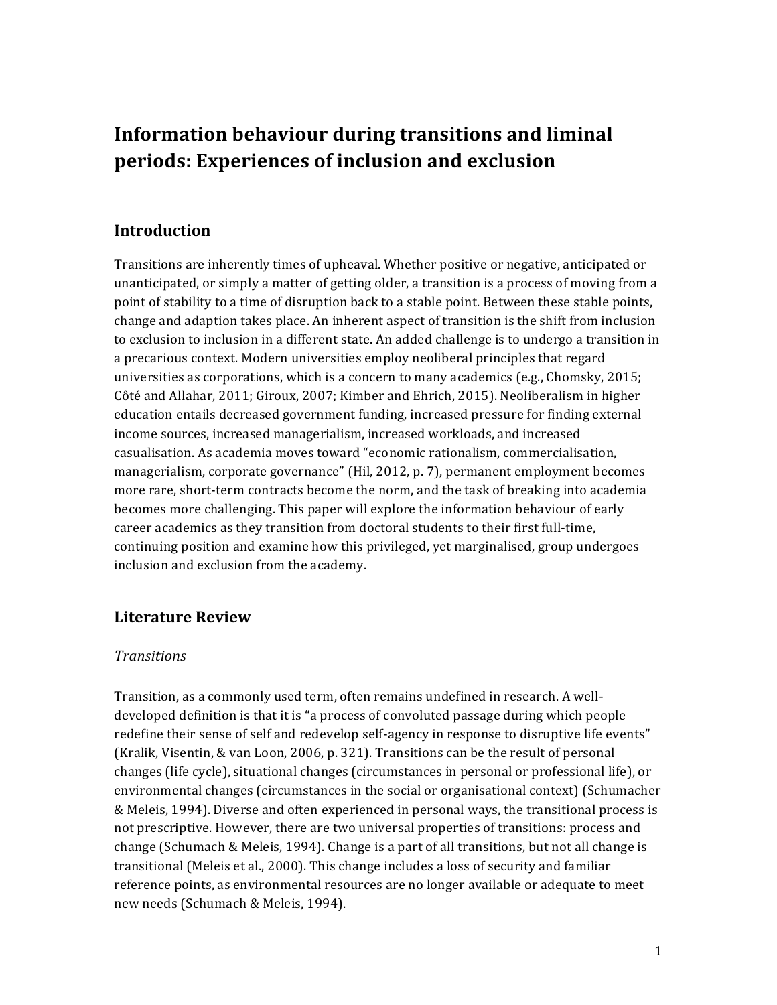# **Information behaviour during transitions and liminal periods:** Experiences of inclusion and exclusion

### **Introduction**

Transitions are inherently times of upheaval. Whether positive or negative, anticipated or unanticipated, or simply a matter of getting older, a transition is a process of moving from a point of stability to a time of disruption back to a stable point. Between these stable points, change and adaption takes place. An inherent aspect of transition is the shift from inclusion to exclusion to inclusion in a different state. An added challenge is to undergo a transition in a precarious context. Modern universities employ neoliberal principles that regard universities as corporations, which is a concern to many academics (e.g., Chomsky, 2015; Côté and Allahar, 2011; Giroux, 2007; Kimber and Ehrich, 2015). Neoliberalism in higher education entails decreased government funding, increased pressure for finding external income sources, increased managerialism, increased workloads, and increased casualisation. As academia moves toward "economic rationalism, commercialisation, managerialism, corporate governance" (Hil, 2012, p. 7), permanent employment becomes more rare, short-term contracts become the norm, and the task of breaking into academia becomes more challenging. This paper will explore the information behaviour of early career academics as they transition from doctoral students to their first full-time, continuing position and examine how this privileged, yet marginalised, group undergoes inclusion and exclusion from the academy.

### **Literature Review**

### *Transitions*

Transition, as a commonly used term, often remains undefined in research. A welldeveloped definition is that it is "a process of convoluted passage during which people redefine their sense of self and redevelop self-agency in response to disruptive life events" (Kralik, Visentin, & van Loon, 2006, p. 321). Transitions can be the result of personal changes (life cycle), situational changes (circumstances in personal or professional life), or environmental changes (circumstances in the social or organisational context) (Schumacher & Meleis, 1994). Diverse and often experienced in personal ways, the transitional process is not prescriptive. However, there are two universal properties of transitions: process and change (Schumach & Meleis, 1994). Change is a part of all transitions, but not all change is transitional (Meleis et al., 2000). This change includes a loss of security and familiar reference points, as environmental resources are no longer available or adequate to meet new needs (Schumach & Meleis, 1994).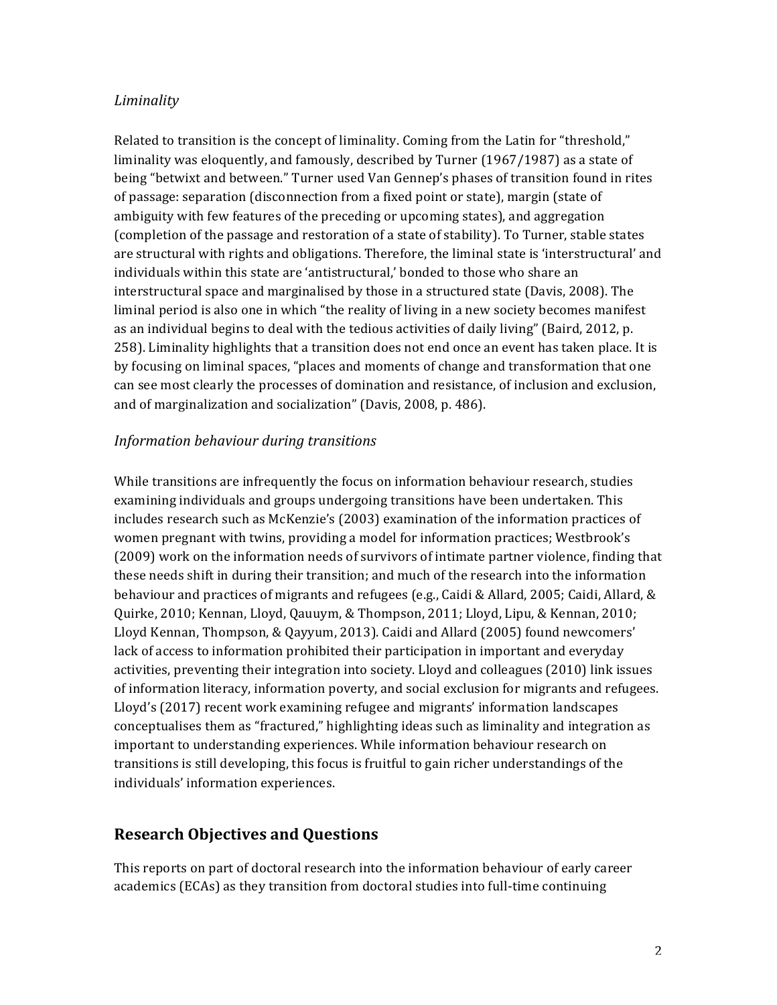#### *Liminality*

Related to transition is the concept of liminality. Coming from the Latin for "threshold," liminality was eloquently, and famously, described by Turner  $(1967/1987)$  as a state of being "betwixt and between." Turner used Van Gennep's phases of transition found in rites of passage: separation (disconnection from a fixed point or state), margin (state of ambiguity with few features of the preceding or upcoming states), and aggregation (completion of the passage and restoration of a state of stability). To Turner, stable states are structural with rights and obligations. Therefore, the liminal state is 'interstructural' and individuals within this state are 'antistructural,' bonded to those who share an interstructural space and marginalised by those in a structured state (Davis, 2008). The liminal period is also one in which "the reality of living in a new society becomes manifest as an individual begins to deal with the tedious activities of daily living" (Baird, 2012, p. 258). Liminality highlights that a transition does not end once an event has taken place. It is by focusing on liminal spaces, "places and moments of change and transformation that one can see most clearly the processes of domination and resistance, of inclusion and exclusion, and of marginalization and socialization" (Davis, 2008, p. 486).

#### *Information behaviour during transitions*

While transitions are infrequently the focus on information behaviour research, studies examining individuals and groups undergoing transitions have been undertaken. This includes research such as McKenzie's (2003) examination of the information practices of women pregnant with twins, providing a model for information practices; Westbrook's (2009) work on the information needs of survivors of intimate partner violence, finding that these needs shift in during their transition; and much of the research into the information behaviour and practices of migrants and refugees (e.g., Caidi & Allard, 2005; Caidi, Allard, & Quirke, 2010; Kennan, Lloyd, Qauuym, & Thompson, 2011; Lloyd, Lipu, & Kennan, 2010; Lloyd Kennan, Thompson, & Qayyum, 2013). Caidi and Allard (2005) found newcomers' lack of access to information prohibited their participation in important and everyday activities, preventing their integration into society. Lloyd and colleagues (2010) link issues of information literacy, information poverty, and social exclusion for migrants and refugees. Lloyd's (2017) recent work examining refugee and migrants' information landscapes conceptualises them as "fractured," highlighting ideas such as liminality and integration as important to understanding experiences. While information behaviour research on transitions is still developing, this focus is fruitful to gain richer understandings of the individuals' information experiences.

### **Research Objectives and Questions**

This reports on part of doctoral research into the information behaviour of early career academics (ECAs) as they transition from doctoral studies into full-time continuing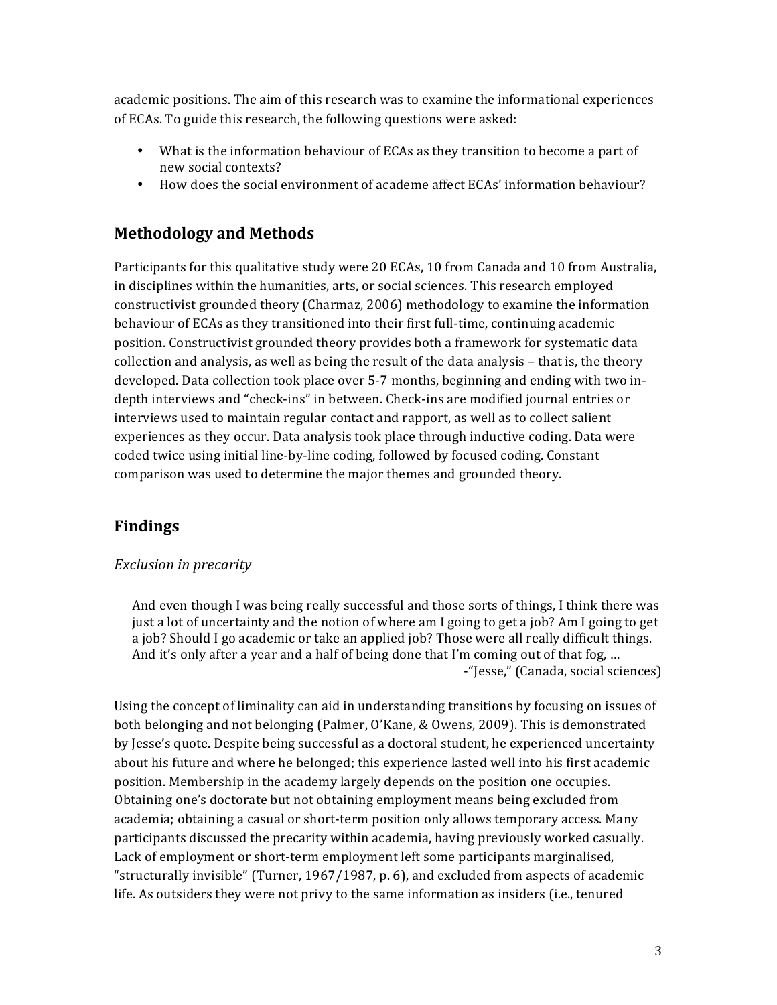academic positions. The aim of this research was to examine the informational experiences of ECAs. To guide this research, the following questions were asked:

- What is the information behaviour of ECAs as they transition to become a part of new social contexts?
- How does the social environment of academe affect ECAs' information behaviour?

# **Methodology and Methods**

Participants for this qualitative study were 20 ECAs, 10 from Canada and 10 from Australia, in disciplines within the humanities, arts, or social sciences. This research employed constructivist grounded theory (Charmaz, 2006) methodology to examine the information behaviour of ECAs as they transitioned into their first full-time, continuing academic position. Constructivist grounded theory provides both a framework for systematic data collection and analysis, as well as being the result of the data analysis  $-$  that is, the theory developed. Data collection took place over 5-7 months, beginning and ending with two indepth interviews and "check-ins" in between. Check-ins are modified journal entries or interviews used to maintain regular contact and rapport, as well as to collect salient experiences as they occur. Data analysis took place through inductive coding. Data were coded twice using initial line-by-line coding, followed by focused coding. Constant comparison was used to determine the major themes and grounded theory.

# **Findings**

### *Exclusion in precarity*

And even though I was being really successful and those sorts of things, I think there was just a lot of uncertainty and the notion of where am I going to get a job? Am I going to get a job? Should I go academic or take an applied job? Those were all really difficult things. And it's only after a year and a half of being done that I'm coming out of that fog, ... -"Jesse," (Canada, social sciences)

Using the concept of liminality can aid in understanding transitions by focusing on issues of both belonging and not belonging (Palmer, O'Kane, & Owens, 2009). This is demonstrated by Jesse's quote. Despite being successful as a doctoral student, he experienced uncertainty about his future and where he belonged; this experience lasted well into his first academic position. Membership in the academy largely depends on the position one occupies. Obtaining one's doctorate but not obtaining employment means being excluded from academia; obtaining a casual or short-term position only allows temporary access. Many participants discussed the precarity within academia, having previously worked casually. Lack of employment or short-term employment left some participants marginalised, "structurally invisible" (Turner,  $1967/1987$ , p. 6), and excluded from aspects of academic life. As outsiders they were not privy to the same information as insiders (i.e., tenured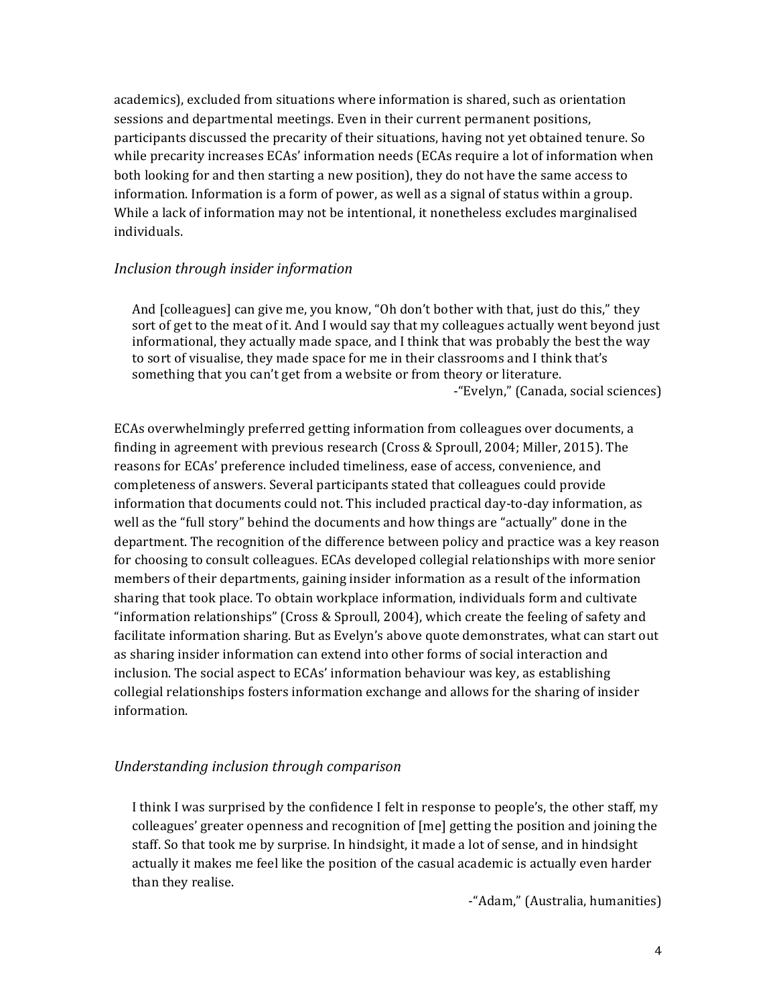academics), excluded from situations where information is shared, such as orientation sessions and departmental meetings. Even in their current permanent positions, participants discussed the precarity of their situations, having not yet obtained tenure. So while precarity increases  $ECAs'$  information needs ( $ECAs$  require a lot of information when both looking for and then starting a new position), they do not have the same access to information. Information is a form of power, as well as a signal of status within a group. While a lack of information may not be intentional, it nonetheless excludes marginalised individuals.

#### *Inclusion through insider information*

And [colleagues] can give me, you know, "Oh don't bother with that, just do this," they sort of get to the meat of it. And I would say that my colleagues actually went beyond just informational, they actually made space, and I think that was probably the best the way to sort of visualise, they made space for me in their classrooms and I think that's something that you can't get from a website or from theory or literature. -"Evelyn," (Canada, social sciences)

ECAs overwhelmingly preferred getting information from colleagues over documents, a finding in agreement with previous research (Cross  $&$  Sproull, 2004; Miller, 2015). The reasons for ECAs' preference included timeliness, ease of access, convenience, and completeness of answers. Several participants stated that colleagues could provide information that documents could not. This included practical day-to-day information, as well as the "full story" behind the documents and how things are "actually" done in the department. The recognition of the difference between policy and practice was a key reason for choosing to consult colleagues. ECAs developed collegial relationships with more senior members of their departments, gaining insider information as a result of the information sharing that took place. To obtain workplace information, individuals form and cultivate "information relationships" (Cross & Sproull, 2004), which create the feeling of safety and facilitate information sharing. But as Evelyn's above quote demonstrates, what can start out as sharing insider information can extend into other forms of social interaction and inclusion. The social aspect to ECAs' information behaviour was key, as establishing collegial relationships fosters information exchange and allows for the sharing of insider information.

### *Understanding inclusion through comparison*

I think I was surprised by the confidence I felt in response to people's, the other staff, my colleagues' greater openness and recognition of  $[me]$  getting the position and joining the staff. So that took me by surprise. In hindsight, it made a lot of sense, and in hindsight actually it makes me feel like the position of the casual academic is actually even harder than they realise.

-"Adam," (Australia, humanities)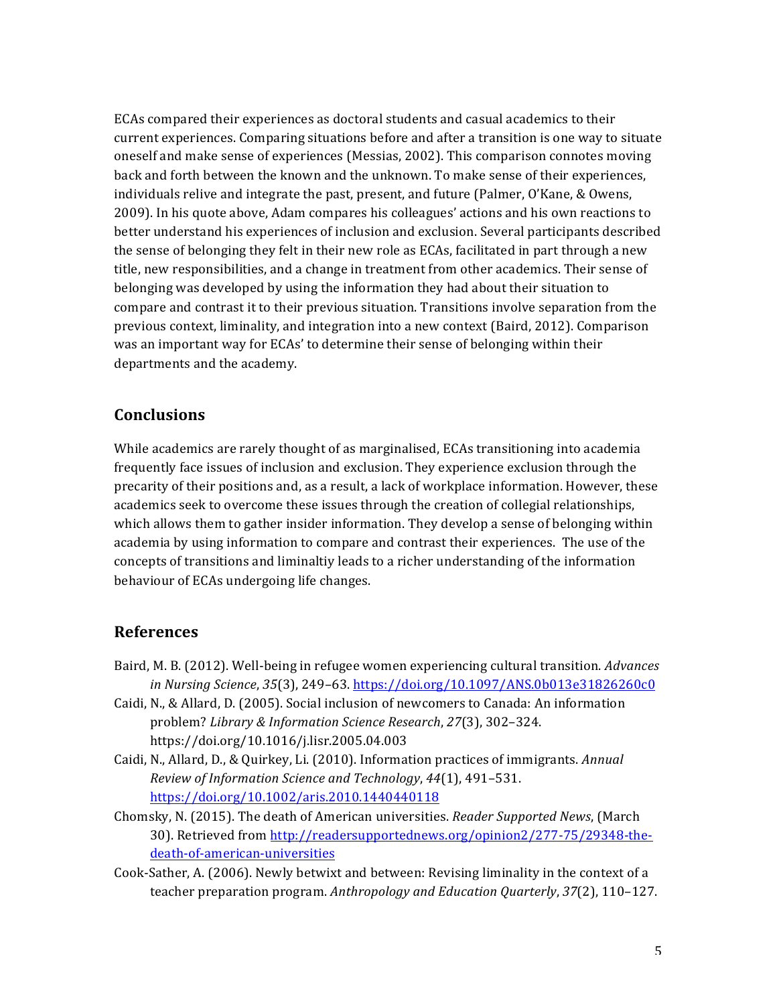ECAs compared their experiences as doctoral students and casual academics to their current experiences. Comparing situations before and after a transition is one way to situate oneself and make sense of experiences (Messias, 2002). This comparison connotes moving back and forth between the known and the unknown. To make sense of their experiences, individuals relive and integrate the past, present, and future (Palmer, O'Kane,  $&$  Owens, 2009). In his quote above, Adam compares his colleagues' actions and his own reactions to better understand his experiences of inclusion and exclusion. Several participants described the sense of belonging they felt in their new role as ECAs, facilitated in part through a new title, new responsibilities, and a change in treatment from other academics. Their sense of belonging was developed by using the information they had about their situation to compare and contrast it to their previous situation. Transitions involve separation from the previous context, liminality, and integration into a new context (Baird, 2012). Comparison was an important way for ECAs' to determine their sense of belonging within their departments and the academy.

### **Conclusions**

While academics are rarely thought of as marginalised, ECAs transitioning into academia frequently face issues of inclusion and exclusion. They experience exclusion through the precarity of their positions and, as a result, a lack of workplace information. However, these academics seek to overcome these issues through the creation of collegial relationships, which allows them to gather insider information. They develop a sense of belonging within academia by using information to compare and contrast their experiences. The use of the concepts of transitions and liminaltiy leads to a richer understanding of the information behaviour of ECAs undergoing life changes.

### **References**

- Baird, M. B. (2012). Well-being in refugee women experiencing cultural transition. *Advances in Nursing Science*, *35*(3), 249–63. https://doi.org/10.1097/ANS.0b013e31826260c0
- Caidi, N., & Allard, D. (2005). Social inclusion of newcomers to Canada: An information problem? *Library & Information Science Research*, *27*(3), 302–324. https://doi.org/10.1016/j.lisr.2005.04.003
- Caidi, N., Allard, D., & Quirkey, Li. (2010). Information practices of immigrants. Annual *Review of Information Science and Technology, 44(1), 491-531.* https://doi.org/10.1002/aris.2010.1440440118
- Chomsky, N. (2015). The death of American universities. *Reader Supported News*, (March 30). Retrieved from http://readersupportednews.org/opinion2/277-75/29348-thedeath-of-american-universities
- Cook-Sather, A. (2006). Newly betwixt and between: Revising liminality in the context of a teacher preparation program. Anthropology and Education Quarterly, 37(2), 110–127.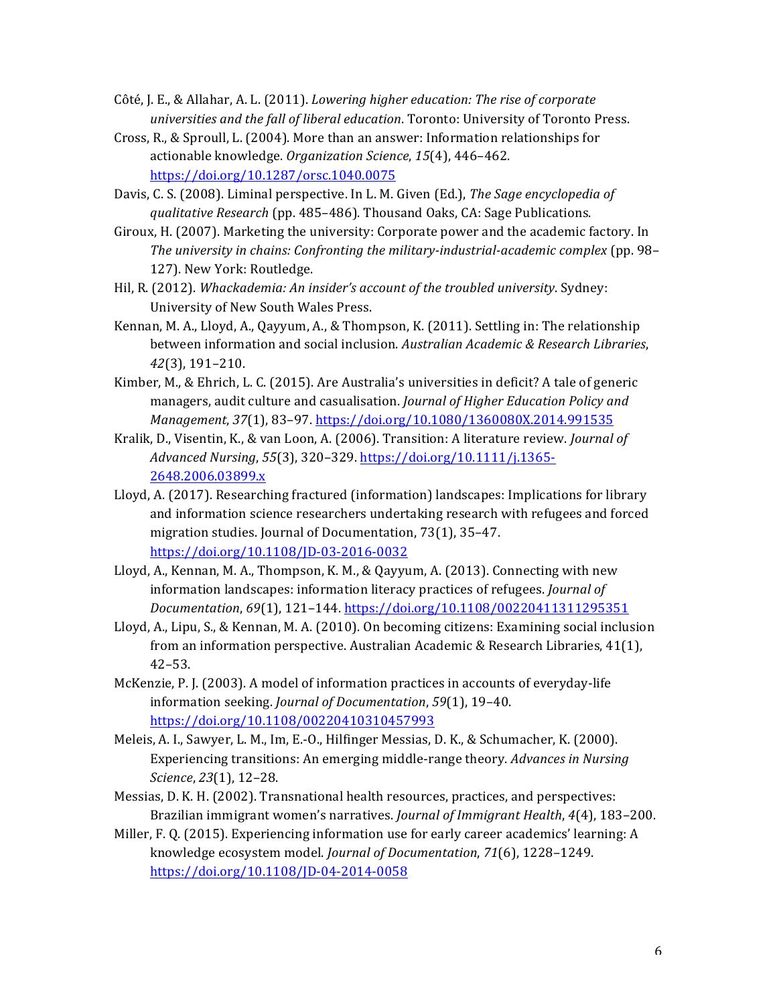- Côté, J. E., & Allahar, A. L. (2011). *Lowering higher education: The rise of corporate universities and the fall of liberal education*. Toronto: University of Toronto Press.
- Cross, R., & Sproull, L.  $(2004)$ . More than an answer: Information relationships for actionable knowledge. *Organization Science*, 15(4), 446-462. https://doi.org/10.1287/orsc.1040.0075
- Davis, C. S. (2008). Liminal perspective. In L. M. Given (Ed.), *The Sage encyclopedia of qualitative Research* (pp. 485–486). Thousand Oaks, CA: Sage Publications.
- Giroux, H. (2007). Marketing the university: Corporate power and the academic factory. In The university in chains: Confronting the military-industrial-academic complex (pp. 98-127). New York: Routledge.
- Hil, R. (2012). *Whackademia: An insider's account of the troubled university*. Sydney: University of New South Wales Press.
- Kennan, M. A., Lloyd, A., Qayyum, A., & Thompson, K. (2011). Settling in: The relationship between information and social inclusion. Australian Academic & Research Libraries, *42*(3), 191–210.
- Kimber, M., & Ehrich, L. C. (2015). Are Australia's universities in deficit? A tale of generic managers, audit culture and casualisation. *Journal of Higher Education Policy and Management*, 37(1), 83-97. https://doi.org/10.1080/1360080X.2014.991535
- Kralik, D., Visentin, K., & van Loon, A. (2006). Transition: A literature review. *Journal of Advanced Nursing*, *55*(3), 320–329. https://doi.org/10.1111/j.1365- 2648.2006.03899.x
- Lloyd, A. (2017). Researching fractured (information) landscapes: Implications for library and information science researchers undertaking research with refugees and forced migration studies. Journal of Documentation, 73(1), 35-47. https://doi.org/10.1108/JD-03-2016-0032
- Lloyd, A., Kennan, M. A., Thompson, K. M., & Qayyum, A. (2013). Connecting with new information landscapes: information literacy practices of refugees. *Journal of Documentation*, *69*(1), 121–144. https://doi.org/10.1108/00220411311295351
- Lloyd, A., Lipu, S., & Kennan, M. A. (2010). On becoming citizens: Examining social inclusion from an information perspective. Australian Academic & Research Libraries,  $41(1)$ , 42–53.
- McKenzie, P. J. (2003). A model of information practices in accounts of everyday-life information seeking. *Journal of Documentation*, 59(1), 19-40. https://doi.org/10.1108/00220410310457993
- Meleis, A. I., Sawyer, L. M., Im, E.-O., Hilfinger Messias, D. K., & Schumacher, K. (2000). Experiencing transitions: An emerging middle-range theory. *Advances in Nursing Science*, *23*(1), 12–28.
- Messias, D. K. H. (2002). Transnational health resources, practices, and perspectives: Brazilian immigrant women's narratives. *Journal of Immigrant Health*, 4(4), 183-200.
- Miller, F. Q. (2015). Experiencing information use for early career academics' learning:  $A$ knowledge ecosystem model. *Journal of Documentation*, 71(6), 1228-1249. https://doi.org/10.1108/JD-04-2014-0058